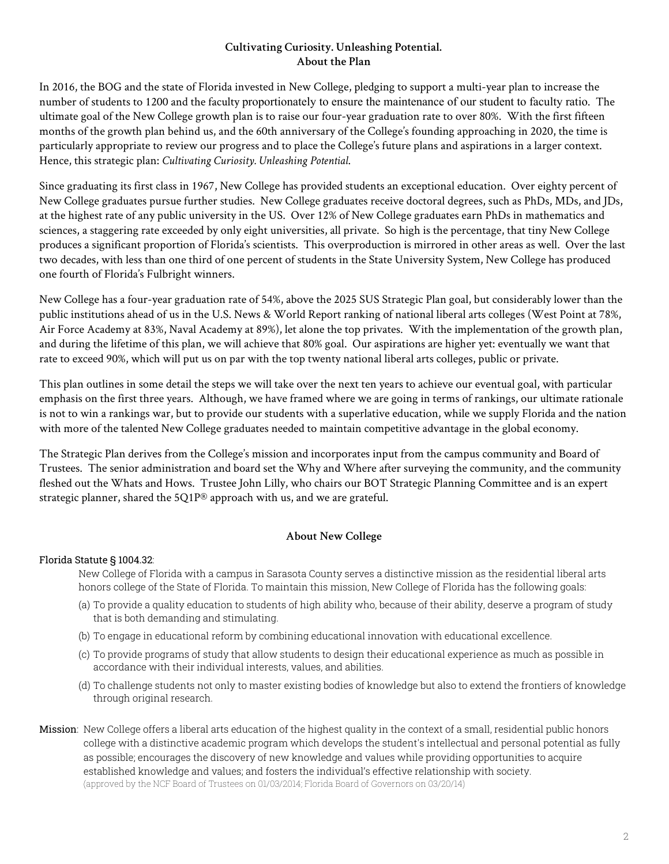# CULTIVATING CURIOSITY. UNLEASHING POTENTIAL. The Plan for New College of Florida 2018-28

(Updated with 2020-21 Accountability Plan data)

### Why do we exist?

New College of Florida prepares intellectually curious students for lives of great achievement.

#### Where are we headed?

New College will be recognized among the top 20 liberal arts colleges in the nation, public or private.

#### What will we achieve?



#### How will we do it?

#### 1. Recruit more students who will thrive at New College

- a. Tell the New College story
- b. Target intellectually curious, high-ability students
- c. Enroll students who reflect Florida's racial and economic diversity

#### 2. Keep them here four years

- a. Make campus a place where students want to be
- b. Immerse students in curricula that inspires
- c. Work with each student to knit together a superlative education

#### 3. Make their degree more valuable

- a. Build pathways for academic and career success
- b. Make Sarasota an educational destination
- c. Intensify links with alumni and communities

## Which work will we not do?

We will not promote silos. We will not duplicate when we can collaborate.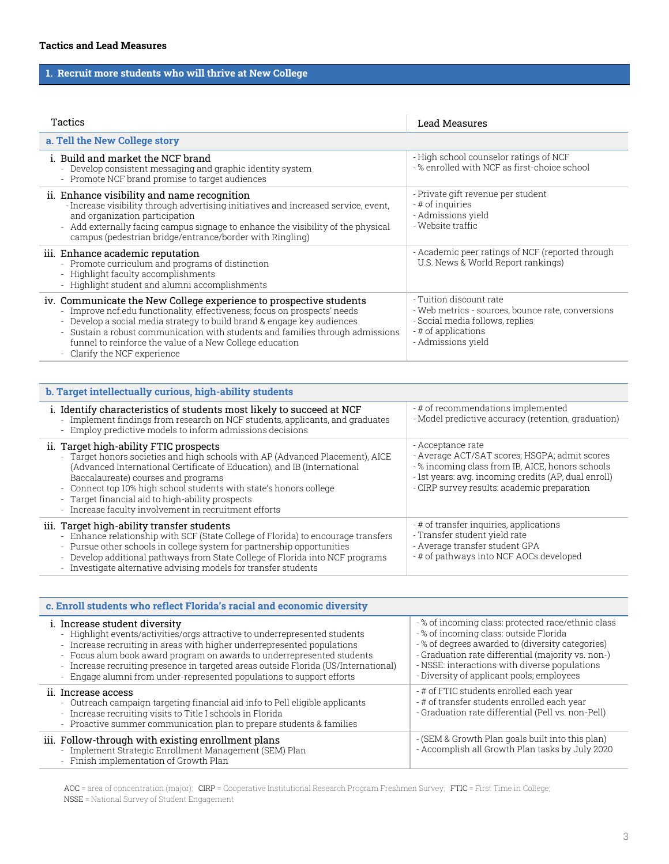### **Cultivating Curiosity. Unleashing Potential. About the Plan**

In 2016, the BOG and the state of Florida invested in New College, pledging to support a multi-year plan to increase the number of students to 1200 and the faculty proportionately to ensure the maintenance of our student to faculty ratio. The ultimate goal of the New College growth plan is to raise our four-year graduation rate to over 80%. With the first fifteen months of the growth plan behind us, and the 60th anniversary of the College's founding approaching in 2020, the time is particularly appropriate to review our progress and to place the College's future plans and aspirations in a larger context. Hence, this strategic plan: *Cultivating Curiosity. Unleashing Potential*.

Since graduating its first class in 1967, New College has provided students an exceptional education. Over eighty percent of New College graduates pursue further studies. New College graduates receive doctoral degrees, such as PhDs, MDs, and JDs, at the highest rate of any public university in the US. Over 12% of New College graduates earn PhDs in mathematics and sciences, a staggering rate exceeded by only eight universities, all private. So high is the percentage, that tiny New College produces a significant proportion of Florida's scientists. This overproduction is mirrored in other areas as well. Over the last two decades, with less than one third of one percent of students in the State University System, New College has produced one fourth of Florida's Fulbright winners.

New College has a four-year graduation rate of 54%, above the 2025 SUS Strategic Plan goal, but considerably lower than the public institutions ahead of us in the U.S. News & World Report ranking of national liberal arts colleges (West Point at 78%, Air Force Academy at 83%, Naval Academy at 89%), let alone the top privates. With the implementation of the growth plan, and during the lifetime of this plan, we will achieve that 80% goal. Our aspirations are higher yet: eventually we want that rate to exceed 90%, which will put us on par with the top twenty national liberal arts colleges, public or private.

This plan outlines in some detail the steps we will take over the next ten years to achieve our eventual goal, with particular emphasis on the first three years. Although, we have framed where we are going in terms of rankings, our ultimate rationale is not to win a rankings war, but to provide our students with a superlative education, while we supply Florida and the nation with more of the talented New College graduates needed to maintain competitive advantage in the global economy.

The Strategic Plan derives from the College's mission and incorporates input from the campus community and Board of Trustees. The senior administration and board set the Why and Where after surveying the community, and the community fleshed out the Whats and Hows. Trustee John Lilly, who chairs our BOT Strategic Planning Committee and is an expert strategic planner, shared the  $5Q1P^{\circledR}$  approach with us, and we are grateful.

### **About New College**

#### Florida Statute § 1004.32:

New College of Florida with a campus in Sarasota County serves a distinctive mission as the residential liberal arts honors college of the State of Florida. To maintain this mission, New College of Florida has the following goals:

- (a) To provide a quality education to students of high ability who, because of their ability, deserve a program of study that is both demanding and stimulating.
- (b) To engage in educational reform by combining educational innovation with educational excellence.
- (c) To provide programs of study that allow students to design their educational experience as much as possible in accordance with their individual interests, values, and abilities.
- (d) To challenge students not only to master existing bodies of knowledge but also to extend the frontiers of knowledge through original research.
- Mission: New College offers a liberal arts education of the highest quality in the context of a small, residential public honors college with a distinctive academic program which develops the student's intellectual and personal potential as fully as possible; encourages the discovery of new knowledge and values while providing opportunities to acquire established knowledge and values; and fosters the individual's effective relationship with society. (approved by the NCF Board of Trustees on 01/03/2014; Florida Board of Governors on 03/20/14)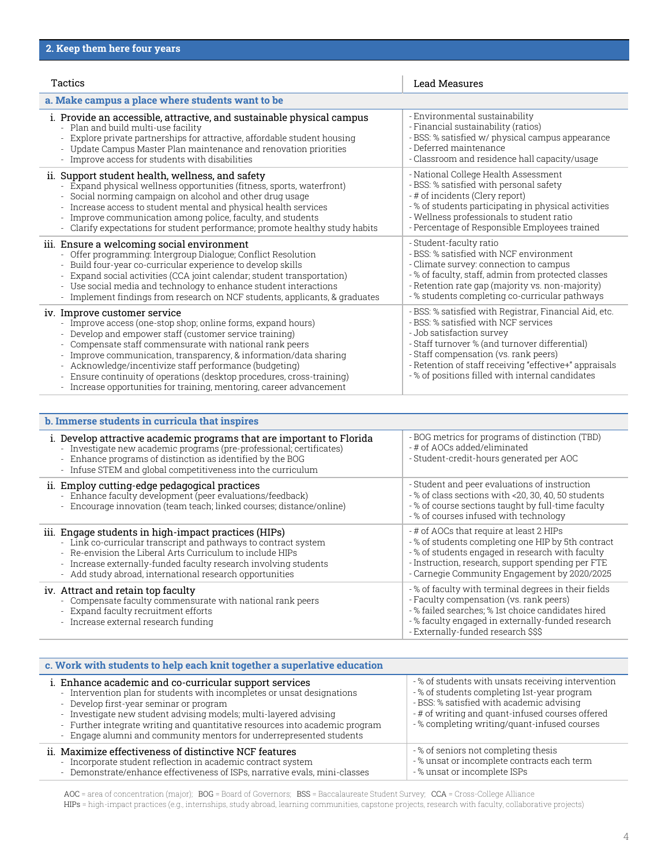## **1. Recruit more students who will thrive at New College**

| Tactics                                                                                                                                                                                                                                                                                                                                                                                                  | <b>Lead Measures</b>                                                                                                                                         |
|----------------------------------------------------------------------------------------------------------------------------------------------------------------------------------------------------------------------------------------------------------------------------------------------------------------------------------------------------------------------------------------------------------|--------------------------------------------------------------------------------------------------------------------------------------------------------------|
| a. Tell the New College story                                                                                                                                                                                                                                                                                                                                                                            |                                                                                                                                                              |
| i. Build and market the NCF brand<br>- Develop consistent messaging and graphic identity system<br>- Promote NCF brand promise to target audiences                                                                                                                                                                                                                                                       | - High school counselor ratings of NCF<br>-% enrolled with NCF as first-choice school                                                                        |
| ii. Enhance visibility and name recognition<br>- Increase visibility through advertising initiatives and increased service, event,<br>and organization participation<br>- Add externally facing campus signage to enhance the visibility of the physical<br>campus (pedestrian bridge/entrance/border with Ringling)                                                                                     | - Private gift revenue per student<br>- # of inquiries<br>- Admissions yield<br>- Website traffic                                                            |
| iii. Enhance academic reputation<br>- Promote curriculum and programs of distinction<br>- Highlight faculty accomplishments<br>- Highlight student and alumni accomplishments                                                                                                                                                                                                                            | - Academic peer ratings of NCF (reported through<br>U.S. News & World Report rankings)                                                                       |
| iv. Communicate the New College experience to prospective students<br>- Improve ncf.edu functionality, effectiveness; focus on prospects' needs<br>- Develop a social media strategy to build brand & engage key audiences<br>- Sustain a robust communication with students and families through admissions<br>funnel to reinforce the value of a New College education<br>- Clarify the NCF experience | - Tuition discount rate<br>- Web metrics - sources, bounce rate, conversions<br>- Social media follows, replies<br>- # of applications<br>- Admissions yield |

| b. Target intellectually curious, high-ability students                                                                                                                                                                                                                                                                                                                                                                       |                                                                                                                                                                                                                              |
|-------------------------------------------------------------------------------------------------------------------------------------------------------------------------------------------------------------------------------------------------------------------------------------------------------------------------------------------------------------------------------------------------------------------------------|------------------------------------------------------------------------------------------------------------------------------------------------------------------------------------------------------------------------------|
| i. Identify characteristics of students most likely to succeed at NCF<br>- Implement findings from research on NCF students, applicants, and graduates<br>- Employ predictive models to inform admissions decisions                                                                                                                                                                                                           | - # of recommendations implemented<br>- Model predictive accuracy (retention, graduation)                                                                                                                                    |
| ii. Target high-ability FTIC prospects<br>- Target honors societies and high schools with AP (Advanced Placement), AICE<br>(Advanced International Certificate of Education), and IB (International<br>Baccalaureate) courses and programs<br>- Connect top 10% high school students with state's honors college<br>- Target financial aid to high-ability prospects<br>- Increase faculty involvement in recruitment efforts | - Acceptance rate<br>- Average ACT/SAT scores; HSGPA; admit scores<br>-% incoming class from IB, AICE, honors schools<br>- 1st years: avg. incoming credits (AP, dual enroll)<br>- CIRP survey results: academic preparation |
| iii. Target high-ability transfer students<br>- Enhance relationship with SCF (State College of Florida) to encourage transfers<br>- Pursue other schools in college system for partnership opportunities<br>- Develop additional pathways from State College of Florida into NCF programs<br>- Investigate alternative advising models for transfer students                                                                 | - # of transfer inquiries, applications<br>- Transfer student yield rate<br>- Average transfer student GPA<br>- # of pathways into NCF AOCs developed                                                                        |

| c. Enroll students who reflect Florida's racial and economic diversity                                                                                                                                                                                                                                                                                                                                                           |                                                                                                                                                                                                                                                                                                   |
|----------------------------------------------------------------------------------------------------------------------------------------------------------------------------------------------------------------------------------------------------------------------------------------------------------------------------------------------------------------------------------------------------------------------------------|---------------------------------------------------------------------------------------------------------------------------------------------------------------------------------------------------------------------------------------------------------------------------------------------------|
| i. Increase student diversity<br>- Highlight events/activities/orgs attractive to underrepresented students<br>- Increase recruiting in areas with higher underrepresented populations<br>- Focus alum book award program on awards to underrepresented students<br>- Increase recruiting presence in targeted areas outside Florida (US/International)<br>- Engage alumni from under-represented populations to support efforts | -% of incoming class: protected race/ethnic class<br>-% of incoming class: outside Florida<br>-% of degrees awarded to (diversity categories)<br>- Graduation rate differential (majority vs. non-)<br>- NSSE: interactions with diverse populations<br>- Diversity of applicant pools; employees |
| ii. Increase access<br>- Outreach campaign targeting financial aid info to Pell eligible applicants<br>- Increase recruiting visits to Title I schools in Florida<br>- Proactive summer communication plan to prepare students & families                                                                                                                                                                                        | - # of FTIC students enrolled each year<br>- # of transfer students enrolled each year<br>- Graduation rate differential (Pell vs. non-Pell)                                                                                                                                                      |
| iii. Follow-through with existing enrollment plans<br>- Implement Strategic Enrollment Management (SEM) Plan<br>- Finish implementation of Growth Plan                                                                                                                                                                                                                                                                           | - (SEM & Growth Plan goals built into this plan)<br>- Accomplish all Growth Plan tasks by July 2020                                                                                                                                                                                               |

AOC = area of concentration (major); CIRP = Cooperative Institutional Research Program Freshmen Survey; FTIC = First Time in College; NSSE = National Survey of Student Engagement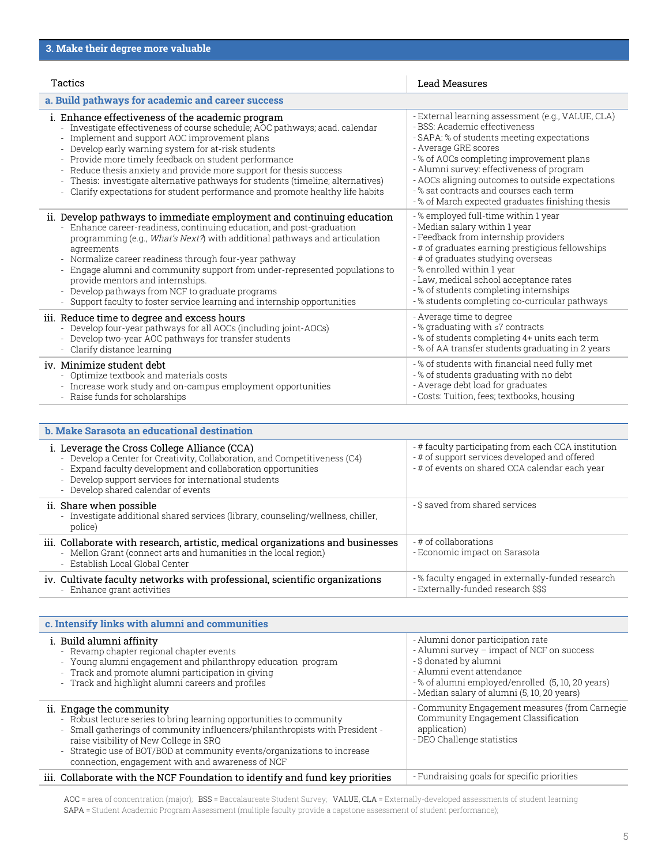| Tactics                                                                                                                                                                                                                                                                                                                                                                                                                                                                                       | Lead Measures                                                                                                                                                                                                                                                                                                                       |
|-----------------------------------------------------------------------------------------------------------------------------------------------------------------------------------------------------------------------------------------------------------------------------------------------------------------------------------------------------------------------------------------------------------------------------------------------------------------------------------------------|-------------------------------------------------------------------------------------------------------------------------------------------------------------------------------------------------------------------------------------------------------------------------------------------------------------------------------------|
| a. Make campus a place where students want to be                                                                                                                                                                                                                                                                                                                                                                                                                                              |                                                                                                                                                                                                                                                                                                                                     |
| i. Provide an accessible, attractive, and sustainable physical campus                                                                                                                                                                                                                                                                                                                                                                                                                         | - Environmental sustainability                                                                                                                                                                                                                                                                                                      |
| - Plan and build multi-use facility                                                                                                                                                                                                                                                                                                                                                                                                                                                           | - Financial sustainability (ratios)                                                                                                                                                                                                                                                                                                 |
| Explore private partnerships for attractive, affordable student housing                                                                                                                                                                                                                                                                                                                                                                                                                       | - BSS: % satisfied w/ physical campus appearance                                                                                                                                                                                                                                                                                    |
| Update Campus Master Plan maintenance and renovation priorities                                                                                                                                                                                                                                                                                                                                                                                                                               | - Deferred maintenance                                                                                                                                                                                                                                                                                                              |
| - Improve access for students with disabilities                                                                                                                                                                                                                                                                                                                                                                                                                                               | - Classroom and residence hall capacity/usage                                                                                                                                                                                                                                                                                       |
| ii. Support student health, wellness, and safety                                                                                                                                                                                                                                                                                                                                                                                                                                              | - National College Health Assessment                                                                                                                                                                                                                                                                                                |
| - Expand physical wellness opportunities (fitness, sports, waterfront)                                                                                                                                                                                                                                                                                                                                                                                                                        | - BSS: % satisfied with personal safety                                                                                                                                                                                                                                                                                             |
| - Social norming campaign on alcohol and other drug usage                                                                                                                                                                                                                                                                                                                                                                                                                                     | - # of incidents (Clery report)                                                                                                                                                                                                                                                                                                     |
| Increase access to student mental and physical health services                                                                                                                                                                                                                                                                                                                                                                                                                                | -% of students participating in physical activities                                                                                                                                                                                                                                                                                 |
| Improve communication among police, faculty, and students                                                                                                                                                                                                                                                                                                                                                                                                                                     | - Wellness professionals to student ratio                                                                                                                                                                                                                                                                                           |
| - Clarify expectations for student performance; promote healthy study habits                                                                                                                                                                                                                                                                                                                                                                                                                  | - Percentage of Responsible Employees trained                                                                                                                                                                                                                                                                                       |
| iii. Ensure a welcoming social environment                                                                                                                                                                                                                                                                                                                                                                                                                                                    | - Student-faculty ratio                                                                                                                                                                                                                                                                                                             |
| - Offer programming: Intergroup Dialogue; Conflict Resolution                                                                                                                                                                                                                                                                                                                                                                                                                                 | - BSS: % satisfied with NCF environment                                                                                                                                                                                                                                                                                             |
| - Build four-year co-curricular experience to develop skills                                                                                                                                                                                                                                                                                                                                                                                                                                  | - Climate survey: connection to campus                                                                                                                                                                                                                                                                                              |
| Expand social activities (CCA joint calendar; student transportation)                                                                                                                                                                                                                                                                                                                                                                                                                         | -% of faculty, staff, admin from protected classes                                                                                                                                                                                                                                                                                  |
| - Use social media and technology to enhance student interactions                                                                                                                                                                                                                                                                                                                                                                                                                             | - Retention rate gap (majority vs. non-majority)                                                                                                                                                                                                                                                                                    |
| - Implement findings from research on NCF students, applicants, & graduates                                                                                                                                                                                                                                                                                                                                                                                                                   | - % students completing co-curricular pathways                                                                                                                                                                                                                                                                                      |
| iv. Improve customer service<br>- Improve access (one-stop shop; online forms, expand hours)<br>- Develop and empower staff (customer service training)<br>Compensate staff commensurate with national rank peers<br>Improve communication, transparency, & information/data sharing<br>Acknowledge/incentivize staff performance (budgeting)<br>Ensure continuity of operations (desktop procedures, cross-training)<br>- Increase opportunities for training, mentoring, career advancement | - BSS: % satisfied with Registrar, Financial Aid, etc.<br>- BSS: % satisfied with NCF services<br>- Job satisfaction survey<br>- Staff turnover % (and turnover differential)<br>- Staff compensation (vs. rank peers)<br>- Retention of staff receiving "effective+" appraisals<br>-% of positions filled with internal candidates |

| <b>b. Immerse students in curricula that inspires</b>                                                                                                                                                                                                                                                                |                                                                                                                                                                                                                                                       |
|----------------------------------------------------------------------------------------------------------------------------------------------------------------------------------------------------------------------------------------------------------------------------------------------------------------------|-------------------------------------------------------------------------------------------------------------------------------------------------------------------------------------------------------------------------------------------------------|
| i. Develop attractive academic programs that are important to Florida<br>- Investigate new academic programs (pre-professional; certificates)<br>- Enhance programs of distinction as identified by the BOG<br>- Infuse STEM and global competitiveness into the curriculum                                          | - BOG metrics for programs of distinction (TBD)<br>- # of AOCs added/eliminated<br>- Student-credit-hours generated per AOC                                                                                                                           |
| ii. Employ cutting-edge pedagogical practices<br>- Enhance faculty development (peer evaluations/feedback)<br>- Encourage innovation (team teach; linked courses; distance/online)                                                                                                                                   | - Student and peer evaluations of instruction<br>-% of class sections with <20, 30, 40, 50 students<br>-% of course sections taught by full-time faculty<br>-% of courses infused with technology                                                     |
| iii. Engage students in high-impact practices (HIPs)<br>- Link co-curricular transcript and pathways to contract system<br>- Re-envision the Liberal Arts Curriculum to include HIPs<br>- Increase externally-funded faculty research involving students<br>- Add study abroad, international research opportunities | - # of AOCs that require at least 2 HIPs<br>-% of students completing one HIP by 5th contract<br>-% of students engaged in research with faculty<br>- Instruction, research, support spending per FTE<br>- Carnegie Community Engagement by 2020/2025 |
| iv. Attract and retain top faculty<br>- Compensate faculty commensurate with national rank peers<br>- Expand faculty recruitment efforts<br>- Increase external research funding                                                                                                                                     | -% of faculty with terminal degrees in their fields<br>- Faculty compensation (vs. rank peers)<br>-% failed searches; % 1st choice candidates hired<br>-% faculty engaged in externally-funded research<br>- Externally-funded research \$\$\$        |

| c. Work with students to help each knit together a superlative education                                                                                                                                                                                                                                                                                                                                 |                                                                                                                                                                                                                                                 |
|----------------------------------------------------------------------------------------------------------------------------------------------------------------------------------------------------------------------------------------------------------------------------------------------------------------------------------------------------------------------------------------------------------|-------------------------------------------------------------------------------------------------------------------------------------------------------------------------------------------------------------------------------------------------|
| i. Enhance academic and co-curricular support services<br>- Intervention plan for students with incompletes or unsat designations<br>- Develop first-year seminar or program<br>- Investigate new student advising models; multi-layered advising<br>- Further integrate writing and quantitative resources into academic program<br>- Engage alumni and community mentors for underrepresented students | -% of students with unsats receiving intervention<br>-% of students completing 1st-year program<br>- BSS: % satisfied with academic advising<br>- # of writing and quant-infused courses offered<br>-% completing writing/quant-infused courses |
| ii. Maximize effectiveness of distinctive NCF features<br>- Incorporate student reflection in academic contract system<br>- Demonstrate/enhance effectiveness of ISPs, narrative evals, mini-classes                                                                                                                                                                                                     | -% of seniors not completing thesis<br>-% unsat or incomplete contracts each term<br>- % unsat or incomplete ISPs                                                                                                                               |

AOC = area of concentration (major); BOG = Board of Governors; BSS = Baccalaureate Student Survey; CCA = Cross-College Alliance HIPs = high-impact practices (e.g., internships, study abroad, learning communities, capstone projects, research with faculty, collaborative projects)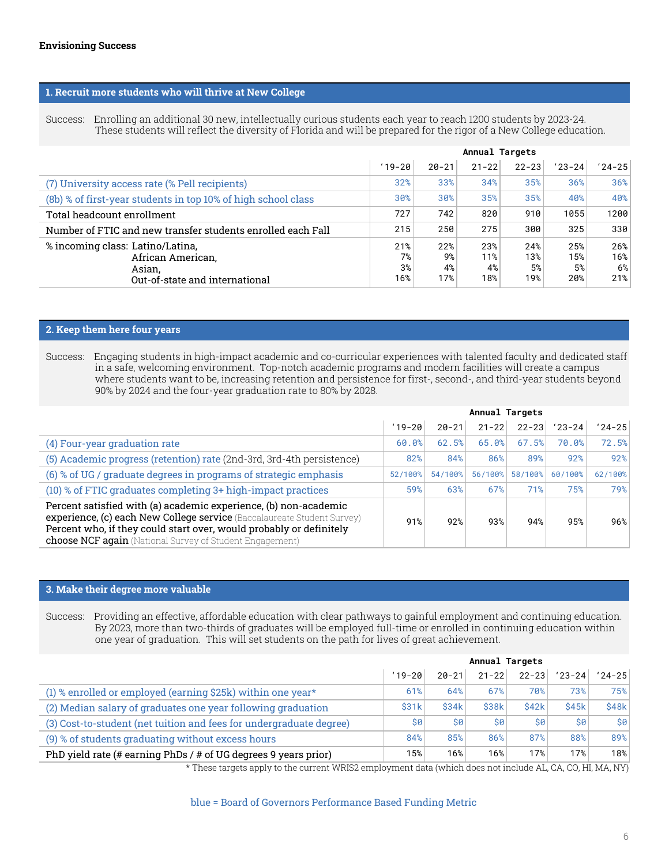| Tactics                                                                                                                                                                                                                                                                                                                                                                                                                                                                                                                                      | Lead Measures                                                                                                                                                                                                                                                                                                                                                                                      |
|----------------------------------------------------------------------------------------------------------------------------------------------------------------------------------------------------------------------------------------------------------------------------------------------------------------------------------------------------------------------------------------------------------------------------------------------------------------------------------------------------------------------------------------------|----------------------------------------------------------------------------------------------------------------------------------------------------------------------------------------------------------------------------------------------------------------------------------------------------------------------------------------------------------------------------------------------------|
| a. Build pathways for academic and career success                                                                                                                                                                                                                                                                                                                                                                                                                                                                                            |                                                                                                                                                                                                                                                                                                                                                                                                    |
| i. Enhance effectiveness of the academic program<br>- Investigate effectiveness of course schedule; AOC pathways; acad. calendar<br>- Implement and support AOC improvement plans<br>- Develop early warning system for at-risk students<br>- Provide more timely feedback on student performance<br>- Reduce thesis anxiety and provide more support for thesis success<br>- Thesis: investigate alternative pathways for students (timeline; alternatives)<br>Clarify expectations for student performance and promote healthy life habits | - External learning assessment (e.g., VALUE, CLA)<br>- BSS: Academic effectiveness<br>- SAPA: % of students meeting expectations<br>- Average GRE scores<br>-% of AOCs completing improvement plans<br>- Alumni survey: effectiveness of program<br>- AOCs aligning outcomes to outside expectations<br>-% sat contracts and courses each term<br>- % of March expected graduates finishing thesis |
| ii. Develop pathways to immediate employment and continuing education                                                                                                                                                                                                                                                                                                                                                                                                                                                                        | -% employed full-time within 1 year                                                                                                                                                                                                                                                                                                                                                                |
| Enhance career-readiness, continuing education, and post-graduation                                                                                                                                                                                                                                                                                                                                                                                                                                                                          | - Median salary within 1 year                                                                                                                                                                                                                                                                                                                                                                      |
| programming (e.g., What's Next?) with additional pathways and articulation                                                                                                                                                                                                                                                                                                                                                                                                                                                                   | - Feedback from internship providers                                                                                                                                                                                                                                                                                                                                                               |
| agreements                                                                                                                                                                                                                                                                                                                                                                                                                                                                                                                                   | - # of graduates earning prestigious fellowships                                                                                                                                                                                                                                                                                                                                                   |
| - Normalize career readiness through four-year pathway                                                                                                                                                                                                                                                                                                                                                                                                                                                                                       | - # of graduates studying overseas                                                                                                                                                                                                                                                                                                                                                                 |
| Engage alumni and community support from under-represented populations to                                                                                                                                                                                                                                                                                                                                                                                                                                                                    | -% enrolled within 1 year                                                                                                                                                                                                                                                                                                                                                                          |
| provide mentors and internships.                                                                                                                                                                                                                                                                                                                                                                                                                                                                                                             | - Law, medical school acceptance rates                                                                                                                                                                                                                                                                                                                                                             |
| - Develop pathways from NCF to graduate programs                                                                                                                                                                                                                                                                                                                                                                                                                                                                                             | - % of students completing internships                                                                                                                                                                                                                                                                                                                                                             |
| Support faculty to foster service learning and internship opportunities                                                                                                                                                                                                                                                                                                                                                                                                                                                                      | -% students completing co-curricular pathways                                                                                                                                                                                                                                                                                                                                                      |
| iii. Reduce time to degree and excess hours                                                                                                                                                                                                                                                                                                                                                                                                                                                                                                  | - Average time to degree                                                                                                                                                                                                                                                                                                                                                                           |
| - Develop four-year pathways for all AOCs (including joint-AOCs)                                                                                                                                                                                                                                                                                                                                                                                                                                                                             | -% graduating with ≤7 contracts                                                                                                                                                                                                                                                                                                                                                                    |
| - Develop two-year AOC pathways for transfer students                                                                                                                                                                                                                                                                                                                                                                                                                                                                                        | -% of students completing 4+ units each term                                                                                                                                                                                                                                                                                                                                                       |
| - Clarify distance learning                                                                                                                                                                                                                                                                                                                                                                                                                                                                                                                  | - % of AA transfer students graduating in 2 years                                                                                                                                                                                                                                                                                                                                                  |
| iv. Minimize student debt                                                                                                                                                                                                                                                                                                                                                                                                                                                                                                                    | -% of students with financial need fully met                                                                                                                                                                                                                                                                                                                                                       |
| - Optimize textbook and materials costs                                                                                                                                                                                                                                                                                                                                                                                                                                                                                                      | -% of students graduating with no debt                                                                                                                                                                                                                                                                                                                                                             |
| - Increase work study and on-campus employment opportunities                                                                                                                                                                                                                                                                                                                                                                                                                                                                                 | - Average debt load for graduates                                                                                                                                                                                                                                                                                                                                                                  |
| - Raise funds for scholarships                                                                                                                                                                                                                                                                                                                                                                                                                                                                                                               | - Costs: Tuition, fees; textbooks, housing                                                                                                                                                                                                                                                                                                                                                         |

| <b>b. Make Sarasota an educational destination</b>                                                                                                                                                                                                                                         |                                                                                                                                                        |
|--------------------------------------------------------------------------------------------------------------------------------------------------------------------------------------------------------------------------------------------------------------------------------------------|--------------------------------------------------------------------------------------------------------------------------------------------------------|
| i. Leverage the Cross College Alliance (CCA)<br>- Develop a Center for Creativity, Collaboration, and Competitiveness (C4)<br>- Expand faculty development and collaboration opportunities<br>- Develop support services for international students<br>- Develop shared calendar of events | - # faculty participating from each CCA institution<br>- # of support services developed and offered<br>- # of events on shared CCA calendar each year |
| ii. Share when possible<br>- Investigate additional shared services (library, counseling/wellness, chiller,<br>police)                                                                                                                                                                     | - \$ saved from shared services                                                                                                                        |
| iii. Collaborate with research, artistic, medical organizations and businesses<br>- Mellon Grant (connect arts and humanities in the local region)<br>- Establish Local Global Center                                                                                                      | - # of collaborations<br>- Economic impact on Sarasota                                                                                                 |
| iv. Cultivate faculty networks with professional, scientific organizations<br>- Enhance grant activities                                                                                                                                                                                   | -% faculty engaged in externally-funded research<br>- Externally-funded research \$\$\$                                                                |

| c. Intensify links with alumni and communities                                                                                                                                                                                                                                                                                                             |                                                                                                                                                                                                                                           |  |  |  |  |
|------------------------------------------------------------------------------------------------------------------------------------------------------------------------------------------------------------------------------------------------------------------------------------------------------------------------------------------------------------|-------------------------------------------------------------------------------------------------------------------------------------------------------------------------------------------------------------------------------------------|--|--|--|--|
| i. Build alumni affinity<br>- Revamp chapter regional chapter events<br>- Young alumni engagement and philanthropy education program<br>- Track and promote alumni participation in giving<br>- Track and highlight alumni careers and profiles                                                                                                            | - Alumni donor participation rate<br>- Alumni survey - impact of NCF on success<br>- \$ donated by alumni<br>- Alumni event attendance<br>-% of alumni employed/enrolled (5, 10, 20 years)<br>- Median salary of alumni (5, 10, 20 years) |  |  |  |  |
| ii. Engage the community<br>- Robust lecture series to bring learning opportunities to community<br>- Small gatherings of community influencers/philanthropists with President -<br>raise visibility of New College in SRQ<br>- Strategic use of BOT/BOD at community events/organizations to increase<br>connection, engagement with and awareness of NCF | - Community Engagement measures (from Carnegie<br>Community Engagement Classification<br>application)<br>- DEO Challenge statistics                                                                                                       |  |  |  |  |
| iii. Collaborate with the NCF Foundation to identify and fund key priorities                                                                                                                                                                                                                                                                               | - Fundraising goals for specific priorities                                                                                                                                                                                               |  |  |  |  |

AOC = area of concentration (major); BSS = Baccalaureate Student Survey; VALUE, CLA = Externally-developed assessments of student learning SAPA = Student Academic Program Assessment (multiple faculty provide a capstone assessment of student performance);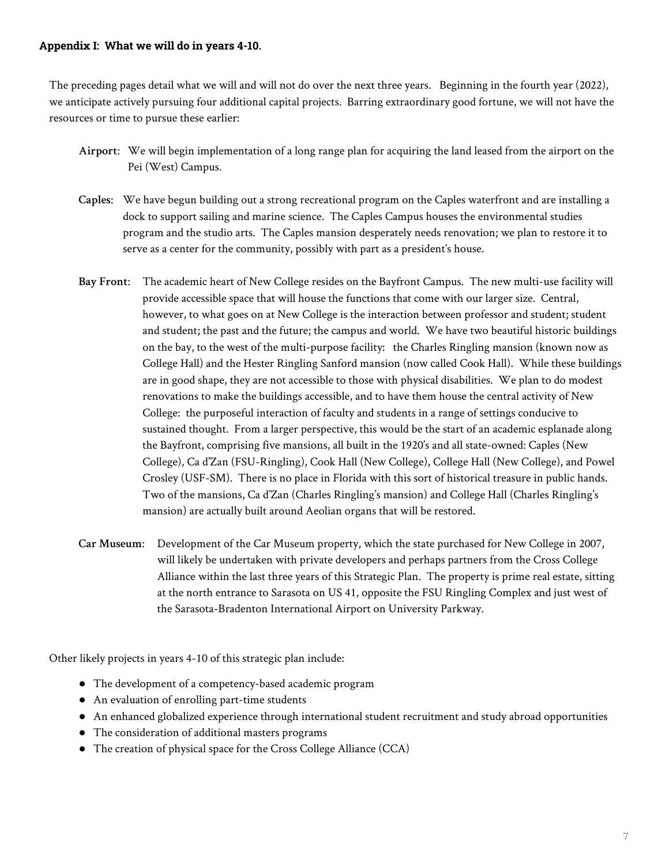#### **1. Recruit more students who will thrive at New College**

Success: Enrolling an additional 30 new, intellectually curious students each year to reach 1200 students by 2023-24. These students will reflect the diversity of Florida and will be prepared for the rigor of a New College education.

|                                                                                                   | Annual Targets         |                        |                         |                         |                         |                         |  |
|---------------------------------------------------------------------------------------------------|------------------------|------------------------|-------------------------|-------------------------|-------------------------|-------------------------|--|
|                                                                                                   | $19 - 20$              | $20 - 21$              | $21 - 22$               | $22 - 23$               | $'23 - 24$              | $'24-25$                |  |
| (7) University access rate (% Pell recipients)                                                    | 32%                    | 33%                    | 34%                     | 35%                     | 36%                     | 36%                     |  |
| (8b) % of first-year students in top 10% of high school class                                     | 30%                    | 30%                    | 35%                     | 35%                     | 40%                     | 40%                     |  |
| Total headcount enrollment                                                                        | 727                    | 742                    | 820                     | 910                     | 1055                    | 1200                    |  |
| Number of FTIC and new transfer students enrolled each Fall                                       | 215                    | 250                    | 275                     | 300                     | 325                     | 330                     |  |
| % incoming class: Latino/Latina,<br>African American,<br>Asian.<br>Out-of-state and international | 21%<br>7%<br>3%<br>16% | 22%<br>9%<br>4%<br>17% | 23%<br>11%<br>4%<br>18% | 24%<br>13%<br>5%<br>19% | 25%<br>15%<br>5%<br>20% | 26%<br>16%<br>6%<br>21% |  |

#### **2. Keep them here four years**

Success: Engaging students in high-impact academic and co-curricular experiences with talented faculty and dedicated staff in a safe, welcoming environment. Top-notch academic programs and modern facilities will create a campus where students want to be, increasing retention and persistence for first-, second-, and third-year students beyond 90% by 2024 and the four-year graduation rate to 80% by 2028.

|                                                                                                                                                                                                                                                                                       | Annual Targets |           |           |           |          |          |
|---------------------------------------------------------------------------------------------------------------------------------------------------------------------------------------------------------------------------------------------------------------------------------------|----------------|-----------|-----------|-----------|----------|----------|
|                                                                                                                                                                                                                                                                                       | $19 - 20$      | $20 - 21$ | $21 - 22$ | $22 - 23$ | $'23-24$ | $'24-25$ |
| (4) Four-year graduation rate                                                                                                                                                                                                                                                         | 60.0%          | 62.5%     | 65.0%     | 67.5%     | 70.0%    | 72.5%    |
| (5) Academic progress (retention) rate (2nd-3rd, 3rd-4th persistence)                                                                                                                                                                                                                 | 82%            | 84%       | 86%       | 89%       | 92%      | 92%      |
| (6) % of UG / graduate degrees in programs of strategic emphasis                                                                                                                                                                                                                      | 52/100%        | 54/100%   | 56/100%   | 58/100%   | 60/100%  | 62/100%  |
| (10) % of FTIC graduates completing 3+ high-impact practices                                                                                                                                                                                                                          | 59%            | 63%       | 67%       | 71%       | 75%      | 79%      |
| Percent satisfied with (a) academic experience, (b) non-academic<br>experience, (c) each New College service (Baccalaureate Student Survey)<br>Percent who, if they could start over, would probably or definitely<br><b>choose NCF again</b> (National Survey of Student Engagement) | 91%            | 92%       | 93%       | 94%       | 95%      | 96%      |

#### **3. Make their degree more valuable**

Success: Providing an effective, affordable education with clear pathways to gainful employment and continuing education. By 2023, more than two-thirds of graduates will be employed full-time or enrolled in continuing education within one year of graduation. This will set students on the path for lives of great achievement.

|                                                                     | Annual Targets |           |           |           |                         |          |
|---------------------------------------------------------------------|----------------|-----------|-----------|-----------|-------------------------|----------|
|                                                                     | $19 - 20$      | $20 - 21$ | $21 - 22$ | $22 - 23$ | $'23-24$                | $'24-25$ |
| (1) % enrolled or employed (earning $$25k$ ) within one year*       | 61%            | 64%       | 67%       | 70%       | 73%                     | 75%      |
| (2) Median salary of graduates one year following graduation        | \$31k          | \$34k     | \$38k     | \$42k     | \$45k                   | \$48k    |
| (3) Cost-to-student (net tuition and fees for undergraduate degree) | \$0            | \$0       | \$0       | \$0       | $\mathsf{S} \mathsf{O}$ | \$9      |
| (9) % of students graduating without excess hours                   | 84%            | 85%       | 86%       | 87%       | 88%                     | 89%      |
| PhD yield rate (# earning PhDs / # of UG degrees 9 years prior)     | 15%            | 16%       | 16%       | 17%       | 17%                     | 18%      |

\* These targets apply to the current WRIS2 employment data (which does not include AL, CA, CO, HI, MA, NY)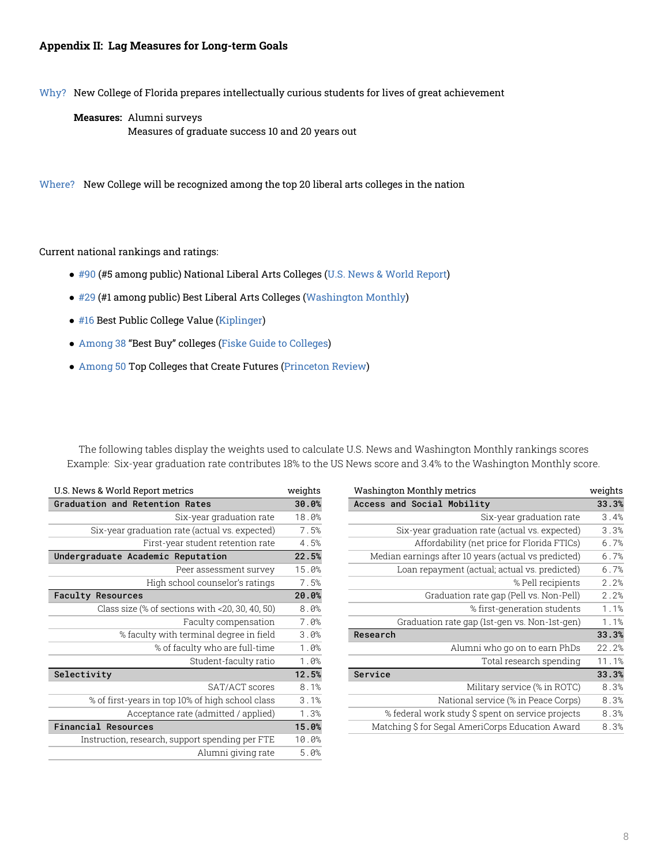#### **Appendix I: What we will do in years 4-10.**

The preceding pages detail what we will and will not do over the next three years. Beginning in the fourth year (2022), we anticipate actively pursuing four additional capital projects. Barring extraordinary good fortune, we will not have the resources or time to pursue these earlier:

- **Airport**: We will begin implementation of a long range plan for acquiring the land leased from the airport on the Pei (West) Campus.
- **Caples**: We have begun building out a strong recreational program on the Caples waterfront and are installing a dock to support sailing and marine science. The Caples Campus houses the environmental studies program and the studio arts. The Caples mansion desperately needs renovation; we plan to restore it to serve as a center for the community, possibly with part as a president's house.
- **Bay Front**: The academic heart of New College resides on the Bayfront Campus. The new multi-use facility will provide accessible space that will house the functions that come with our larger size. Central, however, to what goes on at New College is the interaction between professor and student; student and student; the past and the future; the campus and world. We have two beautiful historic buildings on the bay, to the west of the multi-purpose facility: the Charles Ringling mansion (known now as College Hall) and the Hester Ringling Sanford mansion (now called Cook Hall). While these buildings are in good shape, they are not accessible to those with physical disabilities. We plan to do modest renovations to make the buildings accessible, and to have them house the central activity of New College: the purposeful interaction of faculty and students in a range of settings conducive to sustained thought. From a larger perspective, this would be the start of an academic esplanade along the Bayfront, comprising five mansions, all built in the 1920's and all state-owned: Caples (New College), Ca d'Zan (FSU-Ringling), Cook Hall (New College), College Hall (New College), and Powel Crosley (USF-SM). There is no place in Florida with this sort of historical treasure in public hands. Two of the mansions, Ca d'Zan (Charles Ringling's mansion) and College Hall (Charles Ringling's mansion) are actually built around Aeolian organs that will be restored.
- **Car Museum**: Development of the Car Museum property, which the state purchased for New College in 2007, will likely be undertaken with private developers and perhaps partners from the Cross College Alliance within the last three years of this Strategic Plan. The property is prime real estate, sitting at the north entrance to Sarasota on US 41, opposite the FSU Ringling Complex and just west of the Sarasota-Bradenton International Airport on University Parkway.

Other likely projects in years 4-10 of this strategic plan include:

- The development of a competency-based academic program
- An evaluation of enrolling part-time students
- An enhanced globalized experience through international student recruitment and study abroad opportunities
- The consideration of additional masters programs
- The creation of physical space for the Cross College Alliance (CCA)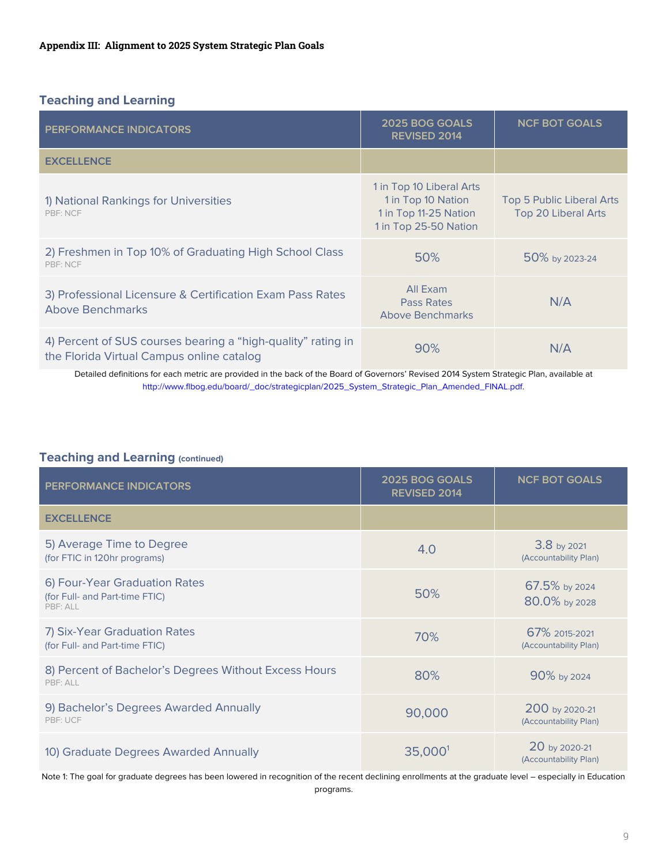#### **Appendix II: Lag Measures for Long-term Goals**

Why? New College of Florida prepares intellectually curious students for lives of great achievement

**Measures:** Alumni surveys Measures of graduate success 10 and 20 years out

Where? New College will be recognized among the top 20 liberal arts colleges in the nation

Current national rankings and ratings:

- #90 (#5 among public) National Liberal Arts Colleges (U.S. News & World Report)
- #29 (#1 among public) Best Liberal Arts Colleges (Washington Monthly)
- #16 Best Public College Value (Kiplinger)
- Among 38 "Best Buy" colleges (Fiske Guide to Colleges)
- Among 50 Top Colleges that Create Futures (Princeton Review)

The following tables display the weights used to calculate U.S. News and Washington Monthly rankings scores Example: Six-year graduation rate contributes 18% to the US News score and 3.4% to the Washington Monthly score.

| U.S. News & World Report metrics                   | weights | <b>Washington Monthly metrics</b><br>weights         |       |
|----------------------------------------------------|---------|------------------------------------------------------|-------|
| Graduation and Retention Rates                     | 30.0%   | Access and Social Mobility                           | 33.3% |
| Six-year graduation rate                           | 18.0%   | Six-year graduation rate                             | 3.4%  |
| Six-year graduation rate (actual vs. expected)     | 7.5%    | Six-year graduation rate (actual vs. expected)       | 3.3%  |
| First-year student retention rate                  | 4.5%    | Affordability (net price for Florida FTICs)          | 6.7%  |
| Undergraduate Academic Reputation                  | 22.5%   | Median earnings after 10 years (actual vs predicted) | 6.7%  |
| Peer assessment survey                             | 15.0%   | Loan repayment (actual; actual vs. predicted)        | 6.7%  |
| High school counselor's ratings                    | 7.5%    | % Pell recipients                                    | 2.2%  |
| <b>Faculty Resources</b>                           | 20.0%   | Graduation rate gap (Pell vs. Non-Pell)              | 2.2%  |
| Class size (% of sections with $<$ 20, 30, 40, 50) | 8.0%    | % first-generation students                          | 1.1%  |
| Faculty compensation                               | 7.0%    | Graduation rate gap (1st-gen vs. Non-1st-gen)        | 1.1%  |
| % faculty with terminal degree in field            | 3.0%    | Research                                             | 33.3% |
| % of faculty who are full-time                     | 1.0%    | Alumni who go on to earn PhDs                        | 22.2% |
| Student-faculty ratio                              | 1.0%    | Total research spending                              | 11.1% |
| Selectivity                                        | 12.5%   | Service                                              | 33.3% |
| SAT/ACT scores                                     | 8.1%    | Military service (% in ROTC)                         | 8.3%  |
| % of first-years in top 10% of high school class   | 3.1%    | National service (% in Peace Corps)                  | 8.3%  |
| Acceptance rate (admitted / applied)               | 1.3%    | % federal work study \$ spent on service projects    | 8.3%  |
| <b>Financial Resources</b>                         | 15.0%   | Matching \$ for Segal AmeriCorps Education Award     | 8.3%  |
| Instruction, research, support spending per FTE    | 10.0%   |                                                      |       |
| Alumni giving rate                                 | 5.0%    |                                                      |       |

| U.S. News & World Report metrics                   | weights | Washington Monthly metrics                           | weights |
|----------------------------------------------------|---------|------------------------------------------------------|---------|
| <b>Graduation and Retention Rates</b>              | 30.0%   | Access and Social Mobility                           | 33.3%   |
| Six-year graduation rate                           | 18.0%   | Six-year graduation rate                             | 3.4%    |
| Six-year graduation rate (actual vs. expected)     | 7.5%    | Six-year graduation rate (actual vs. expected)       | 3.3%    |
| First-year student retention rate                  | 4.5%    | Affordability (net price for Florida FTICs)          | 6.7%    |
| Undergraduate Academic Reputation                  | 22.5%   | Median earnings after 10 years (actual vs predicted) | 6.7%    |
| Peer assessment survey                             | 15.0%   | Loan repayment (actual; actual vs. predicted)        | 6.7%    |
| High school counselor's ratings                    | 7.5%    | % Pell recipients                                    | 2.2%    |
| 20.0%<br><b>Faculty Resources</b>                  |         | Graduation rate gap (Pell vs. Non-Pell)              | 2.2%    |
| Class size (% of sections with $<$ 20, 30, 40, 50) | 8.0%    | % first-generation students                          |         |
| Faculty compensation                               | 7.0%    | Graduation rate gap (1st-gen vs. Non-1st-gen)        |         |
| % faculty with terminal degree in field            | 3.0%    | Research                                             | 33.3%   |
| % of faculty who are full-time                     | 1.0%    | Alumni who go on to earn PhDs                        | 22.2%   |
| Student-faculty ratio                              | 1.0%    | Total research spending                              | 11.1%   |
| Selectivity                                        | 12.5%   | Service                                              | 33.3%   |
| SAT/ACT scores                                     | 8.1%    | Military service (% in ROTC)                         | 8.3%    |
| % of first-years in top 10% of high school class   | 3.1%    | National service (% in Peace Corps)                  | 8.3%    |
| Acceptance rate (admitted / applied)               | 1.3%    | % federal work study \$ spent on service projects    | 8.3%    |
| Financial Resources                                | 15.0%   | Matching S for Segal AmeriCorps Education Award      | 8.3%    |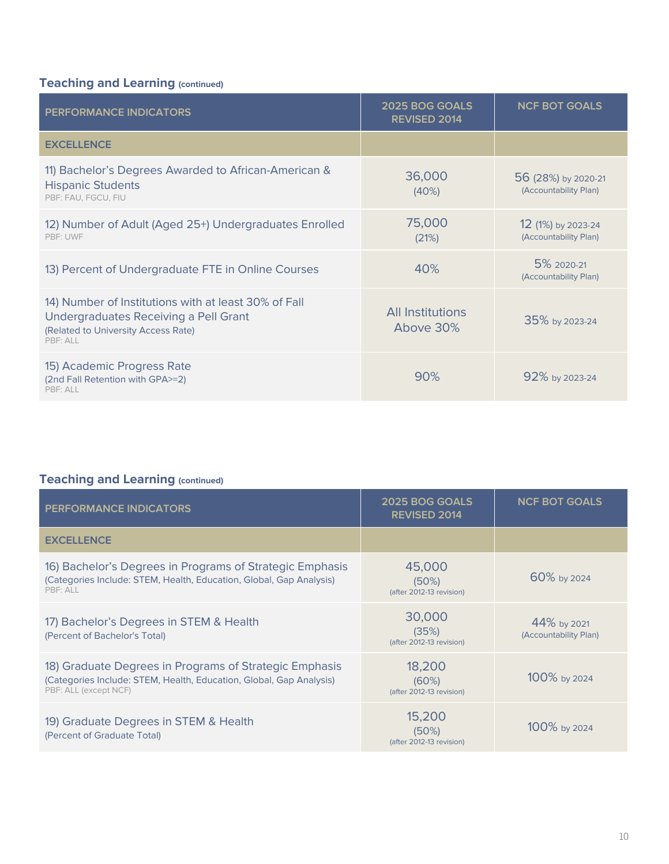## **Teaching and Learning**

| <b>PERFORMANCE INDICATORS</b>                                                                             | 2025 BOG GOALS<br><b>REVISED 2014</b>                                                            | <b>NCF BOT GOALS</b>                                           |
|-----------------------------------------------------------------------------------------------------------|--------------------------------------------------------------------------------------------------|----------------------------------------------------------------|
| <b>EXCELLENCE</b>                                                                                         |                                                                                                  |                                                                |
| 1) National Rankings for Universities<br>PBF: NCF                                                         | 1 in Top 10 Liberal Arts<br>1 in Top 10 Nation<br>1 in Top 11-25 Nation<br>1 in Top 25-50 Nation | <b>Top 5 Public Liberal Arts</b><br><b>Top 20 Liberal Arts</b> |
| 2) Freshmen in Top 10% of Graduating High School Class<br>PBF: NCF                                        | 50%                                                                                              | 50% by 2023-24                                                 |
| 3) Professional Licensure & Certification Exam Pass Rates<br><b>Above Benchmarks</b>                      | All Exam<br>Pass Rates<br>Above Benchmarks                                                       | N/A                                                            |
| 4) Percent of SUS courses bearing a "high-quality" rating in<br>the Florida Virtual Campus online catalog | 90%                                                                                              | N/A                                                            |

Detailed definitions for each metric are provided in the back of the Board of Governors' Revised 2014 System Strategic Plan, available at http://www.flbog.edu/board/\_doc/strategicplan/2025\_System\_Strategic\_Plan\_Amended\_FINAL.pdf.

## **Teaching and Learning (continued)**

| <b>PERFORMANCE INDICATORS</b>                                               | 2025 BOG GOALS<br>REVISED 2014 | <b>NCF BOT GOALS</b>                    |
|-----------------------------------------------------------------------------|--------------------------------|-----------------------------------------|
| <b>EXCELLENCE</b>                                                           |                                |                                         |
| 5) Average Time to Degree<br>(for FTIC in 120hr programs)                   | 4.0                            | 3.8 by 2021<br>(Accountability Plan)    |
| 6) Four-Year Graduation Rates<br>(for Full- and Part-time FTIC)<br>PBF: ALL | 50%                            | 67.5% by 2024<br>80.0% by 2028          |
| 7) Six-Year Graduation Rates<br>(for Full- and Part-time FTIC)              | 70%                            | 67% 2015-2021<br>(Accountability Plan)  |
| 8) Percent of Bachelor's Degrees Without Excess Hours<br>PBF: ALL           | 80%                            | 90% by 2024                             |
| 9) Bachelor's Degrees Awarded Annually<br>PBF: UCF                          | 90,000                         | 200 by 2020-21<br>(Accountability Plan) |
| 10) Graduate Degrees Awarded Annually                                       | 35,000 <sup>1</sup>            | 20 by 2020-21<br>(Accountability Plan)  |

Note 1: The goal for graduate degrees has been lowered in recognition of the recent declining enrollments at the graduate level - especially in Education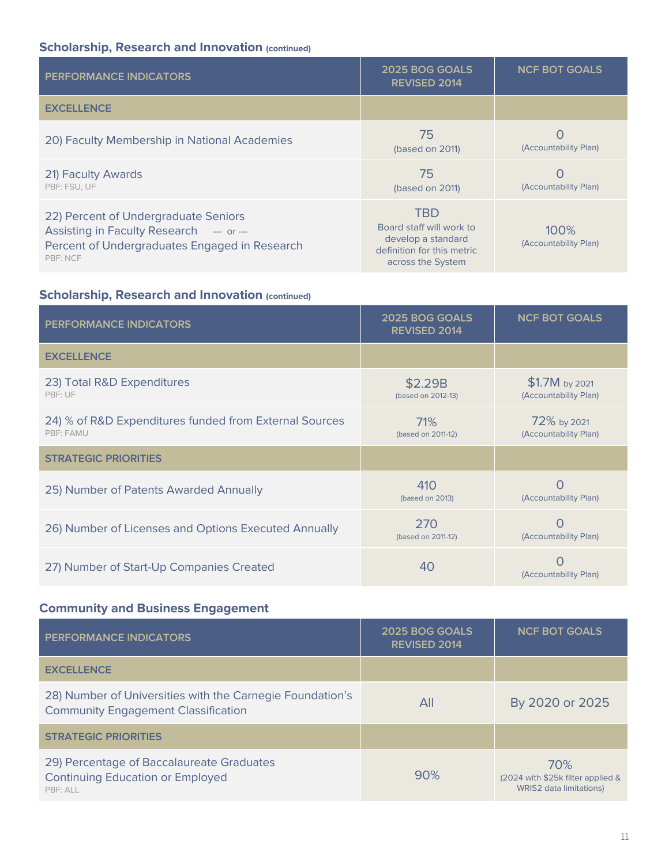## **Teaching and Learning (continued)**

| <b>PERFORMANCE INDICATORS</b>                                                                                                                    | 2025 BOG GOALS<br><b>REVISED 2014</b> | <b>NCF BOT GOALS</b>                         |
|--------------------------------------------------------------------------------------------------------------------------------------------------|---------------------------------------|----------------------------------------------|
| <b>EXCELLENCE</b>                                                                                                                                |                                       |                                              |
| 11) Bachelor's Degrees Awarded to African-American &<br><b>Hispanic Students</b><br>PBF: FAU, FGCU, FIU                                          | 36,000<br>(40%)                       | 56 (28%) by 2020-21<br>(Accountability Plan) |
| 12) Number of Adult (Aged 25+) Undergraduates Enrolled<br>PBF: UWF                                                                               | 75,000<br>(21%)                       | 12 (1%) by 2023-24<br>(Accountability Plan)  |
| 13) Percent of Undergraduate FTE in Online Courses                                                                                               | 40%                                   | 5% 2020-21<br>(Accountability Plan)          |
| 14) Number of Institutions with at least 30% of Fall<br>Undergraduates Receiving a Pell Grant<br>(Related to University Access Rate)<br>PBF: ALL | All Institutions<br>Above 30%         | 35% by 2023-24                               |
| 15) Academic Progress Rate<br>(2nd Fall Retention with GPA>=2)<br>PBF: ALL                                                                       | 90%                                   | 92% by 2023-24                               |

# **Teaching and Learning (continued)**

| <b>PERFORMANCE INDICATORS</b>                                                                                                                          | 2025 BOG GOALS<br><b>REVISED 2014</b>          | <b>NCF BOT GOALS</b>                 |
|--------------------------------------------------------------------------------------------------------------------------------------------------------|------------------------------------------------|--------------------------------------|
| <b>EXCELLENCE</b>                                                                                                                                      |                                                |                                      |
| 16) Bachelor's Degrees in Programs of Strategic Emphasis<br>(Categories Include: STEM, Health, Education, Global, Gap Analysis)<br>PBF: ALL            | 45,000<br>(50%)<br>(after 2012-13 revision)    | 60% by 2024                          |
| 17) Bachelor's Degrees in STEM & Health<br>(Percent of Bachelor's Total)                                                                               | 30,000<br>(35%)<br>(after 2012-13 revision)    | 44% by 2021<br>(Accountability Plan) |
| 18) Graduate Degrees in Programs of Strategic Emphasis<br>(Categories Include: STEM, Health, Education, Global, Gap Analysis)<br>PBF: ALL (except NCF) | 18,200<br>$(60\%)$<br>(after 2012-13 revision) | 100% by 2024                         |
| 19) Graduate Degrees in STEM & Health<br>(Percent of Graduate Total)                                                                                   | 15,200<br>(50%)<br>(after 2012-13 revision)    | 100% by 2024                         |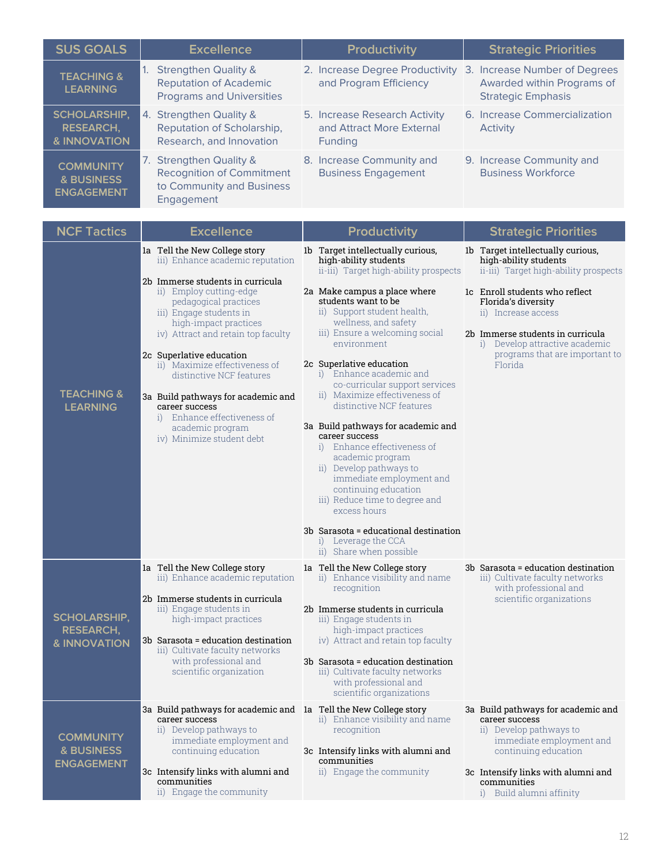## **Scholarship, Research and Innovation (continued)**

| <b>PERFORMANCE INDICATORS</b>                                                                                                                 | 2025 BOG GOALS<br><b>REVISED 2014</b>                                                                           | <b>NCF BOT GOALS</b>             |
|-----------------------------------------------------------------------------------------------------------------------------------------------|-----------------------------------------------------------------------------------------------------------------|----------------------------------|
| <b>EXCELLENCE</b>                                                                                                                             |                                                                                                                 |                                  |
| 20) Faculty Membership in National Academies                                                                                                  | 75<br>(based on 2011)                                                                                           | O<br>(Accountability Plan)       |
| 21) Faculty Awards<br>PBF: FSU, UF                                                                                                            | 75<br>(based on 2011)                                                                                           | O<br>(Accountability Plan)       |
| 22) Percent of Undergraduate Seniors<br>Assisting in Faculty Research --- or ---<br>Percent of Undergraduates Engaged in Research<br>PBF: NCF | <b>TBD</b><br>Board staff will work to<br>develop a standard<br>definition for this metric<br>across the System | $100\%$<br>(Accountability Plan) |

## **Scholarship, Research and Innovation (continued)**

| <b>PERFORMANCE INDICATORS</b>                                       | 2025 BOG GOALS<br><b>REVISED 2014</b> | <b>NCF BOT GOALS</b>                      |
|---------------------------------------------------------------------|---------------------------------------|-------------------------------------------|
| <b>EXCELLENCE</b>                                                   |                                       |                                           |
| 23) Total R&D Expenditures<br>PBF: UF                               | \$2.29B<br>(based on 2012-13)         | \$1.7M by 2021<br>(Accountability Plan)   |
| 24) % of R&D Expenditures funded from External Sources<br>PBF: FAMU | 71%<br>(based on 2011-12)             | 72% by 2021<br>(Accountability Plan)      |
| <b>STRATEGIC PRIORITIES</b>                                         |                                       |                                           |
| 25) Number of Patents Awarded Annually                              | 410<br>(based on 2013)                | O<br>(Accountability Plan)                |
| 26) Number of Licenses and Options Executed Annually                | 270<br>(based on 2011-12)             | ∩<br>(Accountability Plan)                |
| 27) Number of Start-Up Companies Created                            | 40                                    | $\left( \right)$<br>(Accountability Plan) |

# **Community and Business Engagement**

| <b>PERFORMANCE INDICATORS</b>                                                                           | 2025 BOG GOALS<br><b>REVISED 2014</b> | <b>NCF BOT GOALS</b>                                                       |
|---------------------------------------------------------------------------------------------------------|---------------------------------------|----------------------------------------------------------------------------|
| <b>EXCELLENCE</b>                                                                                       |                                       |                                                                            |
| 28) Number of Universities with the Carnegie Foundation's<br><b>Community Engagement Classification</b> | All                                   | By 2020 or 2025                                                            |
| <b>STRATEGIC PRIORITIES</b>                                                                             |                                       |                                                                            |
| 29) Percentage of Baccalaureate Graduates<br><b>Continuing Education or Employed</b><br>PBF: ALL        | 90%                                   | 70%<br>(2024 with \$25k filter applied &<br><b>WRIS2</b> data limitations) |